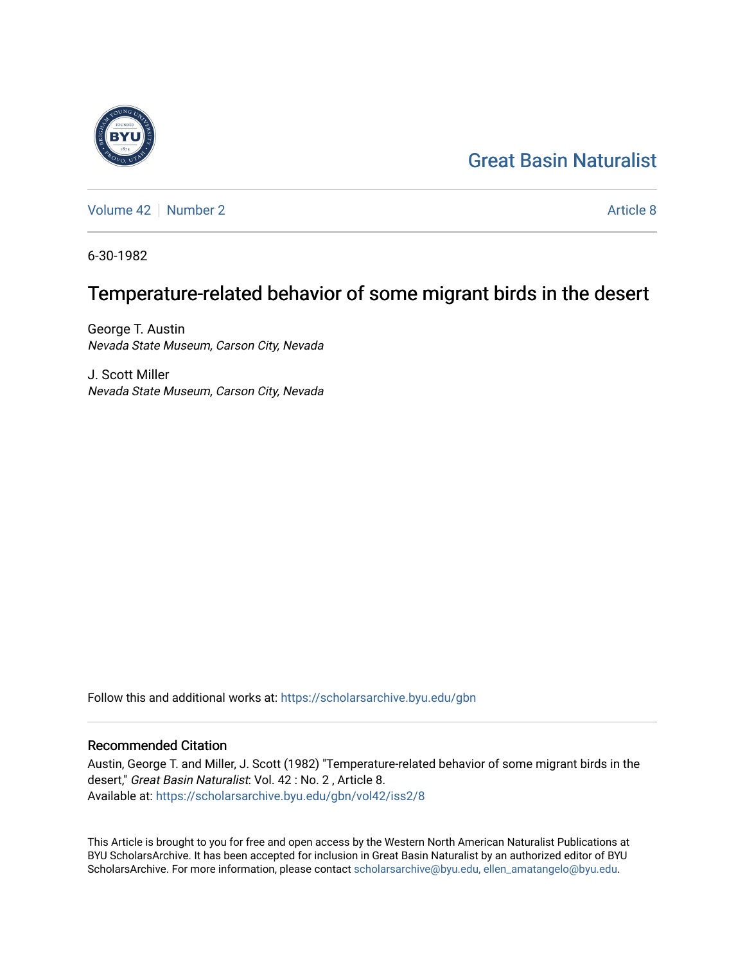# [Great Basin Naturalist](https://scholarsarchive.byu.edu/gbn)

[Volume 42](https://scholarsarchive.byu.edu/gbn/vol42) [Number 2](https://scholarsarchive.byu.edu/gbn/vol42/iss2) [Article 8](https://scholarsarchive.byu.edu/gbn/vol42/iss2/8) Article 8

6-30-1982

# Temperature-related behavior of some migrant birds in the desert

George T. Austin Nevada State Museum, Carson City, Nevada

J. Scott Miller Nevada State Museum, Carson City, Nevada

Follow this and additional works at: [https://scholarsarchive.byu.edu/gbn](https://scholarsarchive.byu.edu/gbn?utm_source=scholarsarchive.byu.edu%2Fgbn%2Fvol42%2Fiss2%2F8&utm_medium=PDF&utm_campaign=PDFCoverPages) 

# Recommended Citation

Austin, George T. and Miller, J. Scott (1982) "Temperature-related behavior of some migrant birds in the desert," Great Basin Naturalist: Vol. 42 : No. 2 , Article 8. Available at: [https://scholarsarchive.byu.edu/gbn/vol42/iss2/8](https://scholarsarchive.byu.edu/gbn/vol42/iss2/8?utm_source=scholarsarchive.byu.edu%2Fgbn%2Fvol42%2Fiss2%2F8&utm_medium=PDF&utm_campaign=PDFCoverPages)

This Article is brought to you for free and open access by the Western North American Naturalist Publications at BYU ScholarsArchive. It has been accepted for inclusion in Great Basin Naturalist by an authorized editor of BYU ScholarsArchive. For more information, please contact [scholarsarchive@byu.edu, ellen\\_amatangelo@byu.edu.](mailto:scholarsarchive@byu.edu,%20ellen_amatangelo@byu.edu)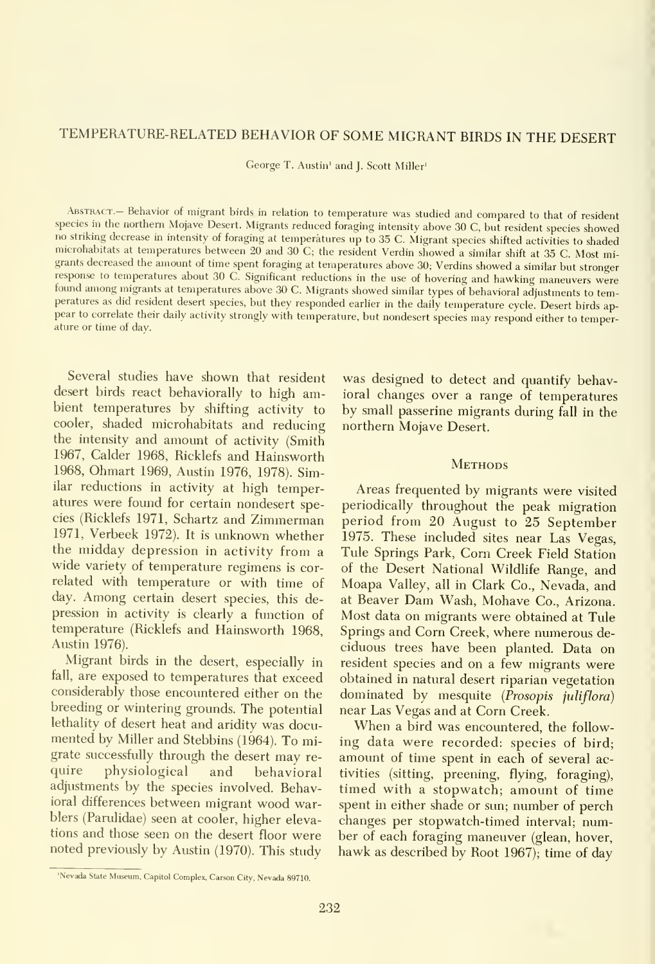# TEMPERATURE-RELATED BEHAVIOR OF SOME MIGRANT BIRDS IN THE DESERT

George T. Austin' and J. Scott Miller'

ABSTRACT.- Behavior of migrant birds in relation to temperature was studied and compared to that of resident species in the northern Mojave Desert. Migrants reduced foraging intensity above <sup>30</sup> C, but resident species showed no striking decrease in intensity of foraging at temperatures up to <sup>35</sup> C. Migrant species shifted activities to shaded microhabitats at temperatures between 20 and 30 C; the resident Verdin showed a similar shift at 35 C. Most mi-<br>grants decreased the amount of time spent foraging at temperatures above 30; Verdins showed a similar but stro response to temperatures about 30 C. Significant reductions in the use of hovering and hawking maneuvers were found among migrants at temperatures above 30 C. Migrants showed similar types of behavioral adjustments to tem-<br>peratures as did resident desert species, but they responded earlier in the daily temperature cycle. Desert b pear to correlate their daily activity strongly with temperature, but nondesert species may respond either to temperature or time of day.

Several studies have shown that resident desert birds react behaviorally to high ambient temperatures by shifting activity to cooler, shaded microhabitats and reducing the intensity and amount of activity (Smith 1967, Calder 1968, Ricklefs and Hainsworth 1968, Ohmart 1969, Austin 1976, 1978). Similar reductions in activity at high temperatures were found for certain nondesert species (Ricklefs 1971, Schartz and Zimmerman 1971, Verbeek 1972). It is unknown whether the midday depression in activity from <sup>a</sup> wide variety of temperature regimens is cor related with temperature or with time of day. Among certain desert species, this depression in activity is clearly a function of temperature (Ricklefs and Hainsworth 1968, Austin 1976).

Migrant birds in the desert, especially in fall, are exposed to temperatures that exceed considerably those encountered either on the breeding or wintering grounds. The potential lethality of desert heat and aridity was documented by Miller and Stebbins (1964). To migrate successfully through the desert may require physiological and behavioral physiological and behavioral adjustments by the species involved. Behavioral differences between migrant wood warblers (Pamlidae) seen at cooler, higher elevations and those seen on the desert floor were noted previously by Austin (1970). This study

was designed to detect and quantify behavioral changes over a range of temperatures by small passerine migrants during fall in the northern Mojave Desert.

## **METHODS**

Areas frequented by migrants were visited periodically throughout the peak migration period from 20 August to 25 September 1975. These included sites near Las Vegas, Tule Springs Park, Com Creek Field Station of the Desert National Wildlife Range, and Moapa Valley, all in Clark Co., Nevada, and at Beaver Dam Wash, Mohave Co., Arizona. Most data on migrants were obtained at Tule Springs and Com Creek, where numerous de ciduous trees have been planted. Data on resident species and on a few migrants were obtained in natural desert riparian vegetation dominated by mesquite (Prosopis juliflora) near Las Vegas and at Corn Creek.

When <sup>a</sup> bird was encountered, the follow ing data were recorded: species of bird; amount of time spent in each of several activities (sitting, preening, flying, foraging), timed with a stopwatch; amount of time spent in either shade or sun; number of perch changes per stopwatch-timed interval; number of each foraging maneuver (glean, hover, hawk as described by Root 1967); time of day

<sup>&#</sup>x27;Nevada State Museum, Capitol Complex, Carson City, Nevada 89710.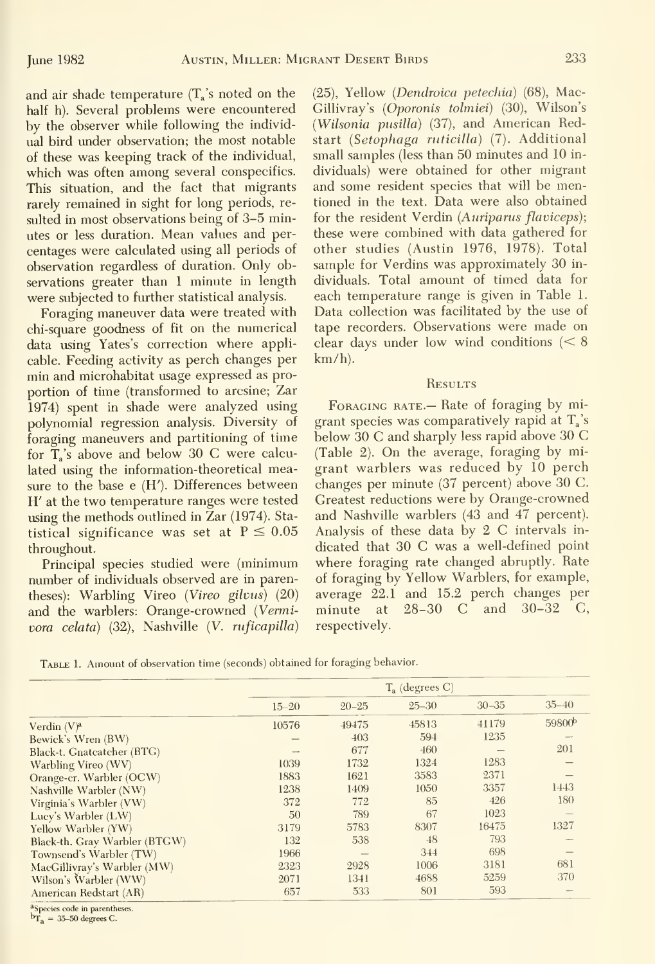and air shade temperature  $(T_s)$ 's noted on the half h). Several problems were encountered by the observer while following the individ ual bird under observation; the most notable of these was keeping track of the individual, which was often among several conspecifics. This situation, and the fact that migrants rarely remained in sight for long periods, re sulted in most observations being of 3-5 minutes or less duration. Mean values and per centages were calculated using all periods of observation regardless of duration. Only observations greater than <sup>1</sup> minute in length were subjected to further statistical analysis.

Foraging maneuver data were treated with chi-square goodness of fit on the numerical data using Yates's correction where applicable. Feeding activity as perch changes per min and microhabitat usage expressed as pro portion of time (transformed to arcsine; Zar 1974) spent in shade were analyzed using polynomial regression analysis. Diversity of foraging maneuvers and partitioning of time for T<sub>s</sub>'s above and below 30 C were calculated using the information-theoretical measure to the base e (H'). Differences between H' at the two temperature ranges were tested using the methods outlined in Zar (1974). Statistical significance was set at  $P \le 0.05$ throughout.

Principal species studied were (minimum number of individuals observed are in parentheses): Warbling Vireo (Vireo gilvus)  $(20)$ and the warblers: Orange-crowned (Vermivora celata) (32), Nashville (V. nificapilla) (25), Yellow {Dendroica petechia) (68), Mac-Gillivray's {Oporonis tolmiei) (30), Wilson's {Wilsonia pusilla) (37), and American Redstart {Setophaga ruticilla) (7). Additional small samples (less than 50 minutes and 10 in dividuals) were obtained for other migrant and some resident species that will be mentioned in the text. Data were also obtained for the resident Verdin (Auriparus flaviceps); these were combined with data gathered for other studies (Austin 1976, 1978). Total sample for Verdins was approximately 30 individuals. Total amount of timed data for each temperature range is given in Table 1. Data collection was facilitated by the use of tape recorders. Observations were made on clear days under low wind conditions (< 8 km/h).

#### **RESULTS**

FORAGING RATE.— Rate of foraging by migrant species was comparatively rapid at  $T_a$ 's below 30 C and sharply less rapid above 30 C (Table 2). On the average, foraging by migrant warblers was reduced by 10 perch changes per minute (37 percent) above 30 C. Greatest reductions were by Orange-crowned and Nashville warblers (43 and 47 percent). Analysis of these data by 2 C intervals in dicated that 30 C was <sup>a</sup> well-defined point where foraging rate changed abruptly. Rate of foraging by Yellow Warblers, for example, average 22.1 and 15.2 perch changes per minute at 28-30 C and 30-32 C, respectively.

Table 1. Amount of observation time (seconds) obtained for foraging behavior.

|                               | $T_a$ (degrees C) |           |           |           |                    |  |
|-------------------------------|-------------------|-----------|-----------|-----------|--------------------|--|
|                               | $15 - 20$         | $20 - 25$ | $25 - 30$ | $30 - 35$ | $35 - 40$          |  |
| Verdin $(V)^a$                | 10576             | 49475     | 45813     | 41179     | 59800 <sup>b</sup> |  |
| Bewick's Wren (BW)            |                   | 403       | 594       | 1235      |                    |  |
| Black-t. Gnatcatcher (BTG)    |                   | 677       | 460       |           | 201                |  |
| Warbling Vireo (WV)           | 1039              | 1732      | 1324      | 1283      |                    |  |
| Orange-cr. Warbler (OCW)      | 1883              | 1621      | 3583      | 2371      |                    |  |
| Nashville Warbler (NW)        | 1238              | 1409      | 1050      | 3357      | 1443               |  |
| Virginia's Warbler (VW)       | 372               | 772       | 85        | 426       | 180                |  |
| Lucy's Warbler (LW)           | 50                | 789       | 67        | 1023      |                    |  |
| Yellow Warbler (YW)           | 3179              | 5783      | 8307      | 16475     | 1327               |  |
| Black-th. Gray Warbler (BTGW) | 132               | 538       | 48        | 793       |                    |  |
| Townsend's Warbler (TW)       | 1966              |           | 344       | 698       |                    |  |
| MacGillivray's Warbler (MW)   | 2323              | 2928      | 1006      | 3181      | 681                |  |
| Wilson's Warbler (WW)         | 2071              | 1341      | 4688      | 5259      | 370                |  |
| American Redstart (AR)        | 657               | 533       | 801       | 593       |                    |  |

<sup>a</sup>Species code in parentheses.

 $b_{T_a}$  = 35-50 degrees C.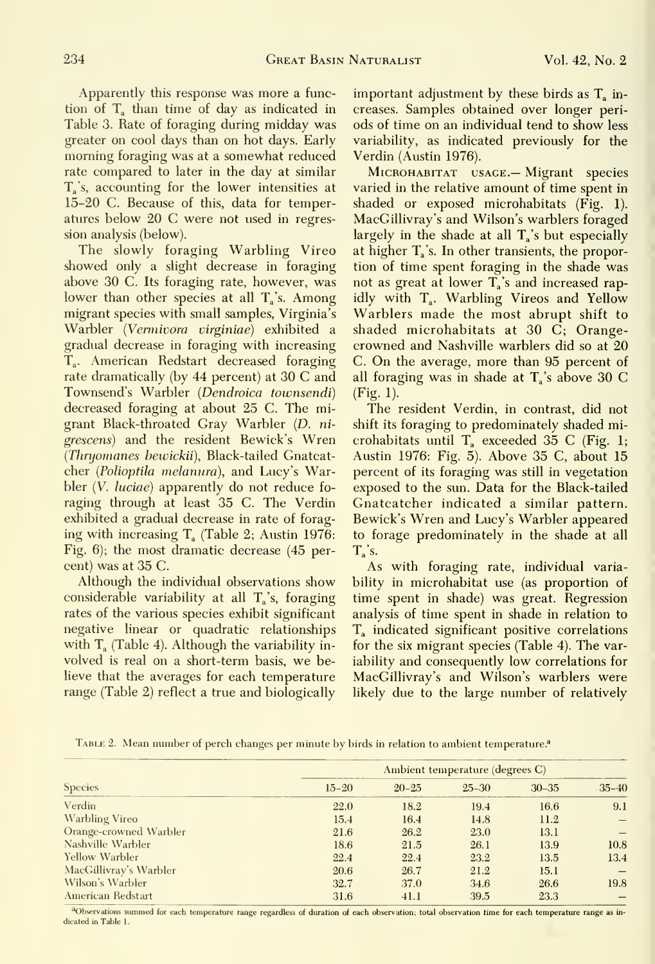Apparently this response was more a function of  $T_a$  than time of day as indicated in Table 3. Rate of foraging during midday was greater on cool days than on hot days. Early morning foraging was at a somewhat reduced rate compared to later in the day at similar  $T_a$ 's, accounting for the lower intensities at 15-20 C. Because of this, data for temperatures below 20 C were not used in regression analysis (below).

The slowly foraging Warbling Vireo showed only a slight decrease in foraging above 30 C. Its foraging rate, however, was lower than other species at all T<sub>i</sub>'s. Among migrant species with small samples, Virginia's Warbler (Vermivora virginiae) exhibited a gradual decrease in foraging with increasing T<sub>a</sub>. American Redstart decreased foraging rate dramatically (by 44 percent) at 30 C and Townsend's Warbler {Dendroica townsendi) decreased foraging at about 25 C. The migrant Black-throated Gray Warbler (D. ni grescens) and the resident Bewick's Wren {Thnjornanes bewickii). Black-tailed Gnatcatcher {Polioptila melanura), and Lucy's Warbler *(V. luciae)* apparently do not reduce foraging through at least 35 C. The Verdin exhibited a gradual decrease in rate of foraging with increasing  $T_a$  (Table 2; Austin 1976: Fig. 6); the most dramatic decrease (45 percent) was at 35 C.

Although the individual observations show considerable variability at all  $T_a$ 's, foraging rates of the various species exhibit significant negative linear or quadratic relationships with  $T_a$  (Table 4). Although the variability involved is real on a short-term basis, we believe that the averages for each temperature range (Table 2) reflect a true and biologically important adjustment by these birds as  $T_a$  increases. Samples obtained over longer periods of time on an individual tend to show less variability, as indicated previously for the Verdin (Austin 1976).

MicROHABiTAT USAGE.— Migrant species varied in the relative amount of time spent in shaded or exposed microhabitats (Fig. 1). MacGillivray's and Wilson's warblers foraged largely in the shade at all  $T_a$ 's but especially at higher  $T_a$ 's. In other transients, the proportion of time spent foraging in the shade was not as great at lower  $T_a$ 's and increased rapidly with T<sub>a</sub>. Warbling Vireos and Yellow Warblers made the most abrupt shift to shaded microhabitats at 30 C; Orangecrowned and Nashville warblers did so at 20 C. On the average, more than 95 percent of all foraging was in shade at  $T_a$ 's above 30 C (Fig. 1).

The resident Verdin, in contrast, did not shift its foraging to predominately shaded microhabitats until  $T_a$  exceeded 35 C (Fig. 1; Austin 1976: Fig. 5). Above 35 C, about 15 percent of its foraging was still in vegetation exposed to the sun. Data for the Black-tailed Gnatcatcher indicated a similar pattern. Bewick's Wren and Lucy's Warbler appeared to forage predominately in the shade at all  $T_a$ 's.

As with foraging rate, individual variability in microhabitat use (as proportion of time spent in shade) was great. Regression analysis of time spent in shade in relation to  $T_a$  indicated significant positive correlations for the six migrant species (Table 4). The variability and consequently low correlations for MacGillivray's and Wilson's warblers were likely due to the large number of relatively

TABLE 2. Mean number of perch changes per minute by birds in relation to ambient temperature.<sup>a</sup>

| <b>Species</b>         | Ambient temperature (degrees C) |           |           |           |            |  |
|------------------------|---------------------------------|-----------|-----------|-----------|------------|--|
|                        | $15 - 20$                       | $20 - 25$ | $25 - 30$ | $30 - 35$ | $-35 - 40$ |  |
| Verdin                 | 22.0                            | 18.2      | 19.4      | 16.6      | 9.1        |  |
| <b>Warbling Vireo</b>  | 15.4                            | 16.4      | 14.8      | 11.2      |            |  |
| Orange-crowned Warbler | 21.6                            | 26.2      | 23.0      | 13.1      |            |  |
| Nashville Warbler      | 18.6                            | 21.5      | 26.1      | 13.9      | 10.8       |  |
| Yellow Warbler         | 22.4                            | 22.4      | 23.2      | 13.5      | 13.4       |  |
| MacGillivray's Warbler | 20.6                            | 26.7      | 21.2      | 15.1      |            |  |
| Wilson's Warbler       | 32.7                            | 37.0      | 34.6      | 26.6      | 19.8       |  |
| American Redstart      | 31.6                            | 41.1      | 39.5      | 23.3      |            |  |

<sup>a</sup>Observations summed for each temperature range regardless of duration of each observation; total observation time for each temperature range as indicated in Table 1.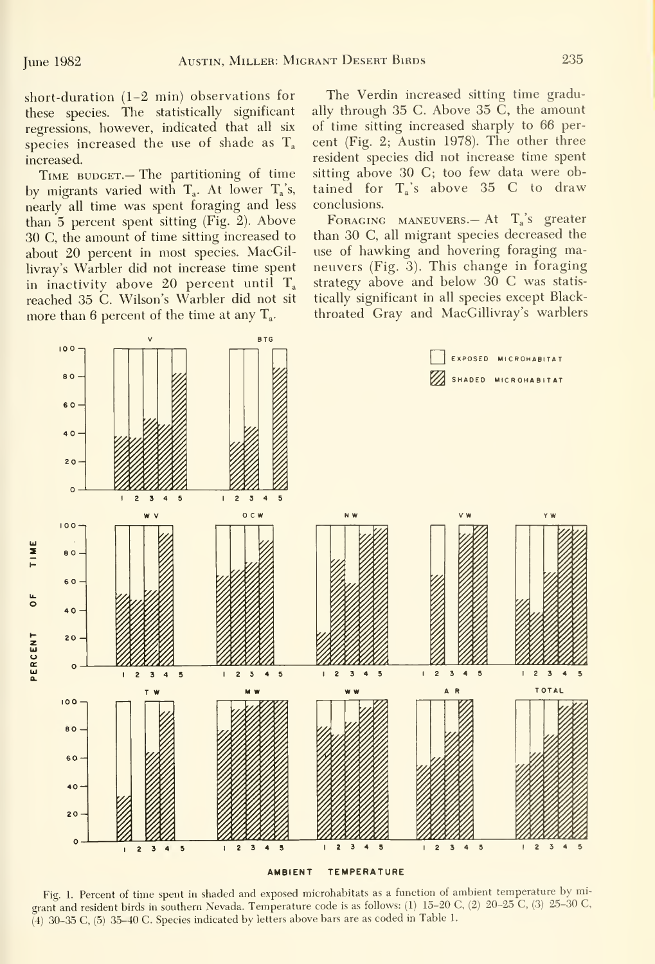short-duration (1-2 min) observations for these species. The statistically significant regressions, however, indicated that all six species increased the use of shade as  $T_a$ increased.

TIME BUDGET. - The partitioning of time by migrants varied with  $T_a$ . At lower  $T_a$ 's, nearly all time was spent foraging and less than 5 percent spent sitting (Fig. 2). Above 30 C, the amount of time sitting increased to about 20 percent in most species. MacGillivray's Warbler did not increase time spent in inactivity above 20 percent until  $T_a$ reached 35 C. Wilson's Warbler did not sit more than 6 percent of the time at any  $T_a$ .

The Verdin increased sitting time gradually through 35 C. Above 35 C, the amount of time sitting increased sharply to 66 per cent (Fig. 2; Austin 1978). The other three resident species did not increase time spent sitting above 30 C; too few data were obtained for  $T_a$ 's above 35 C to draw conclusions.

FORAGING MANEUVERS.— At  $T_a$ 's greater than 30 C, all migrant species decreased the use of hawking and hovering foraging maneuvers (Fig. 3). This change in foraging strategy above and below 30 C was statistically significant in all species except Blackthroated Gray and MacGillivray's warblers



Fig. 1. Percent of time spent in shaded and exposed microhabitats as <sup>a</sup> function of ambient temperature by migrant and resident birds in southern Nevada. Temperature code is as follows: (1) 15-20 C, (2) 20-25 C, (3) 25-30 C, (4) 30-35 C, (5) 35-40 C. Species indicated by letters above bars are as coded in Table 1.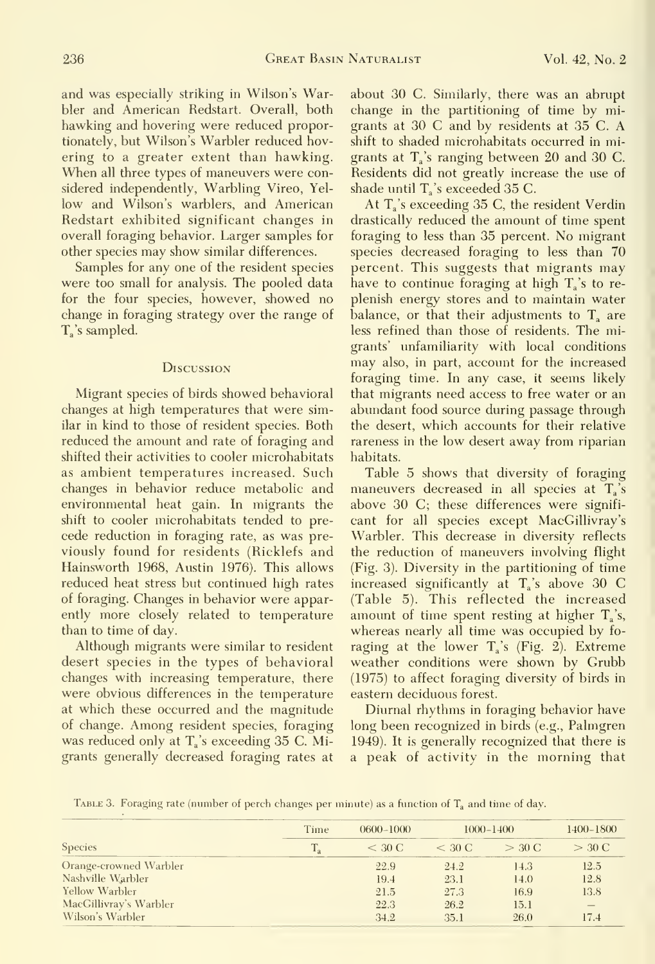and was especially striking in Wilson's Warbler and American Redstart. Overall, both hawking and hovering were reduced proportionately, but Wilson's Warbler reduced hovering to a greater extent than hawking. When all three types of maneuvers were considered independently. Warbling Vireo, Yel low and Wilson's warblers, and American Redstart exhibited significant changes in overall foraging behavior. Larger samples for other species may show similar differences.

Samples for any one of the resident species were too small for analysis. The pooled data for the four species, however, showed no change in foraging strategy over the range of  $T_{\rm a}$ 's sampled.

### **Discussion**

Migrant species of birds showed behavioral changes at high temperatures that were similar in kind to those of resident species. Both reduced the amount and rate of foraging and shifted their activities to cooler microhabitats as ambient temperatures increased. Such changes in behavior reduce metabolic and environmental heat gain. In migrants the shift to cooler microhabitats tended to pre cede reduction in foraging rate, as was pre viously found for residents (Ricklefs and Hainsworth 1968, Austin 1976). This allows reduced heat stress but continued high rates of foraging. Changes in behavior were apparently more closely related to temperature than to time of day.

Although migrants were similar to resident desert species in the types of behavioral changes with increasing temperature, there were obvious differences in the temperature at which these occurred and the magnitude of change. Among resident species, foraging was reduced only at  $T_s$ 's exceeding 35 C. Migrants generally decreased foraging rates at

about 30 C. Similarly, there was an abrupt change in the partitioning of time by migrants at 30 C and by residents at 35 C. A shift to shaded microhabitats occurred in migrants at  $T_a$ 's ranging between 20 and 30 C. Residents did not greatly increase the use of shade until  $T_a$ 's exceeded 35 C.

At  $T_s$ 's exceeding 35 C, the resident Verdin drastically reduced the amount of time spent foraging to less than 35 percent. No migrant species decreased foraging to less than 70 percent. This suggests that migrants may have to continue foraging at high  $T_a$ 's to replenish energy stores and to maintain water balance, or that their adjustments to  $T_a$  are less refined than those of residents. The migrants' unfamiliarity with local conditions may also, in part, account for the increased foraging time. In any case, it seems likely that migrants need access to free water or an abundant food source during passage through the desert, which accounts for their relative rareness in the low desert away from riparian habitats.

Table 5 shows that diversity of foraging maneuvers decreased in all species at  $T_a$ 's above 30 C; these differences were signifi cant for all species except MacGillivray's Warbler. This decrease in diversity reflects the reduction of maneuvers involving flight (Fig. 3). Diversity in the partitioning of time increased significantly at  $T_a$ 's above 30 C (Table 5). This reflected the increased amount of time spent resting at higher  $T_a$ 's, whereas nearly all time was occupied by fo raging at the lower  $T_a$ 's (Fig. 2). Extreme weather conditions were shown by Grubb (1975) to affect foraging diversity of birds in eastern deciduous forest.

Diurnal rhythms in foraging behavior have long been recognized in birds (e.g., Palmgren 1949). It is generally recognized that there is a peak of activity in the morning that

TABLE 3. Foraging rate (number of perch changes per minute) as a function of  $T_a$  and time of day.

| <b>Species</b>         | Time | $0600 - 1000$ |          | $1000 - 1400$ |                   |
|------------------------|------|---------------|----------|---------------|-------------------|
|                        |      | $<$ 30 C      | $<$ 30 C | $>$ 30 C      | $>$ 30 C          |
| Orange-crowned Warbler |      | 22.9          | 24.2     | 14.3          | 12.5              |
| Nashville Warbler      |      | 19.4          | 23.1     | 14.0          | 12.8              |
| Yellow Warbler         |      | 21.5          | 27.3     | 16.9          | 13.8              |
| MacGillivray's Warbler |      | 22.3          | 26.2     | 15.1          | $\qquad \qquad -$ |
| Wilson's Warbler       |      | 34.2          | 35.1     | 26.0          | 17.4              |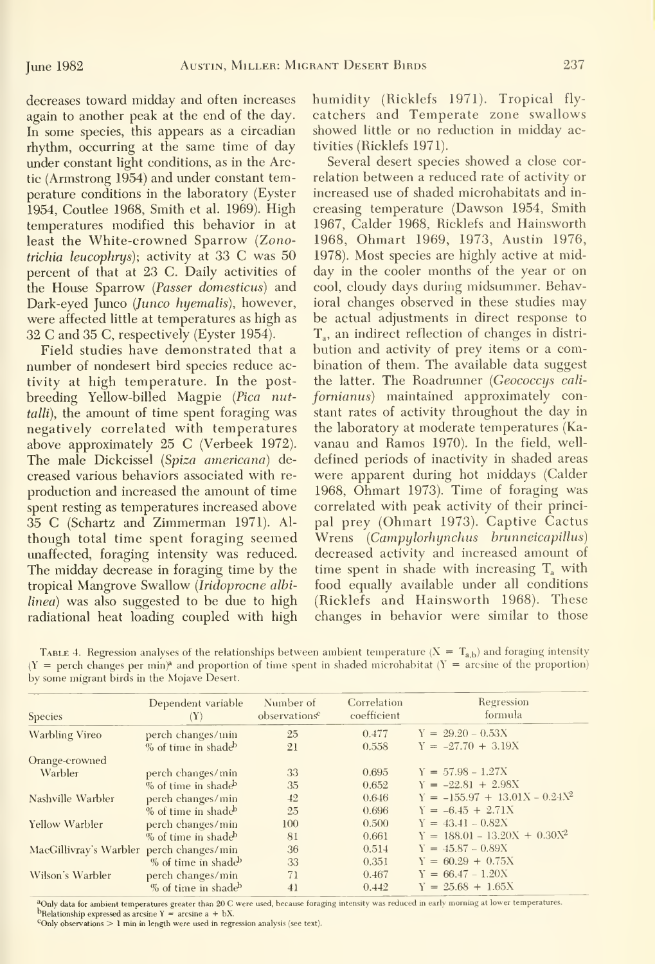decreases toward midday and often increases again to another peak at the end of the day. In some species, this appears as a circadian rhythm, occurring at the same time of day under constant light conditions, as in the Arctic (Armstrong 1954) and under constant temperature conditions in the laboratory (Eyster 1954, Coutlee 1968, Smith et al. 1969). High temperatures modified this behavior in at least the White-crowned Sparrow (Zonotrichia leucophrys); activity at 33 C was 50 percent of that at 23 C. Daily activities of the House Sparrow {Passer domesticus) and Dark-eyed Junco (Junco hyemalis), however, were affected little at temperatures as high as 32 C and 35 C, respectively (Eyster 1954).

Field studies have demonstrated that a number of nondesert bird species reduce activity at high temperature. In the postbreeding Yellow-billed Magpie {Pica nuttalli), the amount of time spent foraging was negatively correlated with temperatures above approximately 25 C (Verbeek 1972). The male Dickcissel (Spiza americana) decreased various behaviors associated with re production and increased the amount of time spent resting as temperatures increased above 35 C (Schartz and Zimmerman 1971). Al though total time spent foraging seemed unaffected, foraging intensity was reduced. The midday decrease in foraging time by the tropical Mangrove Swallow {Iridoprocne alhilinea) was also suggested to be due to high radiational heat loading coupled with high humidity (Ricklefs 1971). Tropical flycatchers and Temperate zone swallows showed little or no reduction in midday activities (Ricklefs 1971).

Several desert species showed a close correlation between a reduced rate of activity or increased use of shaded microhabitats and in creasing temperature (Dawson 1954, Smith 1967, Calder 1968, Ricklefs and Hainsworth 1968, Ohmart 1969, 1973, Austin 1976, 1978). Most species are highly active at midday in the cooler months of the year or on cool, cloudy days during midsummer. Behavioral changes observed in these studies may be actual adjustments in direct response to T<sub>a</sub>, an indirect reflection of changes in distribution and activity of prey items or a combination of them. The available data suggest the latter. The Roadrunner (Geococcys californianus) maintained approximately constant rates of activity throughout the day in the laboratory at moderate temperatures (Ka vanau and Ramos 1970). In the field, well defined periods of inactivity in shaded areas were apparent during hot middays (Calder 1968, Ohmart 1973). Time of foraging was correlated with peak activity of their principal prey (Ohmart 1973). Captive Cactus Wrens {Campylorhynchus brunneicapillus) decreased activity and increased amount of time spent in shade with increasing  $T_a$  with food equally available under all conditions (Ricklefs and Hainsworth 1968). These changes in behavior were similar to those

| TABLE 4. Regression analyses of the relationships between ambient temperature $(X = T_{ab})$ and foraging intensity                 |  |
|-------------------------------------------------------------------------------------------------------------------------------------|--|
| $(Y = \text{perch changes per min})^2$ and proportion of time spent in shaded microhabitat $(Y = \text{arcsine of the proportion})$ |  |
| by some migrant birds in the Mojave Desert.                                                                                         |  |

| Species                                  | Dependent variable<br>$(\mathbf{Y})$ | Number of<br>observations <sup>c</sup> | Correlation<br>coefficient | Regression<br>formula            |
|------------------------------------------|--------------------------------------|----------------------------------------|----------------------------|----------------------------------|
| <b>Warbling Vireo</b>                    | perch changes/min                    | 25                                     | 0.477                      | $Y = 29.20 - 0.53X$              |
|                                          | % of time in shade                   | 21                                     | 0.558                      | $Y = -27.70 + 3.19X$             |
| Orange-crowned                           |                                      |                                        |                            |                                  |
| Warbler                                  | perch changes/min                    | 33                                     | 0.695                      | $Y = 57.98 - 1.27X$              |
|                                          | % of time in shade                   | 35                                     | 0.652                      | $Y = -22.81 + 2.98X$             |
| Nashville Warbler                        | perch changes/min                    | 42                                     | 0.646                      | $Y = -155.97 + 13.01X - 0.24X^2$ |
|                                          | % of time in shade                   | 25                                     | 0.696                      | $Y = -6.45 + 2.71X$              |
| Yellow Warbler                           | perch changes/min                    | 100                                    | 0.500                      | $Y = 43.41 - 0.82X$              |
|                                          | % of time in shade                   | 81                                     | 0.661                      | $Y = 188.01 - 13.20X + 0.30X^2$  |
| MacGillivray's Warbler perch changes/min |                                      | 36                                     | 0.514                      | $Y = 45.87 - 0.89X$              |
|                                          | % of time in shade                   | 33                                     | 0.351                      | $Y = 60.29 + 0.75X$              |
| Wilson's Warbler                         | perch changes/min                    | 71                                     | 0.467                      | $Y = 66.47 - 1.20X$              |
|                                          | % of time in shade <sup>b</sup>      | 41                                     | 0.442                      | $Y = 25.68 + 1.65X$              |

<sup>a</sup>Only data for ambient temperatures greater than 20 C were used, because foraging intensity was reduced in early morning at lower temperatures. bRelationship expressed as arcsine  $Y = \arcsin a + bX$ .

Conly observations  $> 1$  min in length were used in regression analysis (see text).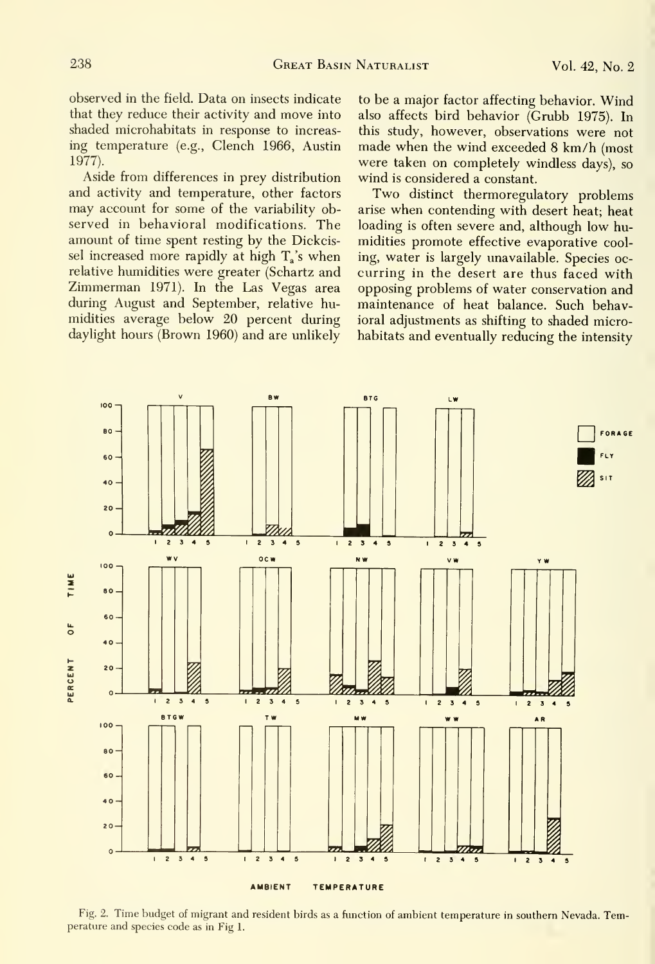observed in the field. Data on insects indicate that they reduce their activity and move into shaded microhabitats in response to increas ing temperature (e.g., Clench 1966, Austin 1977).

Aside from differences in prey distribution and activity and temperature, other factors may account for some of the variability observed in behavioral modifications. The amount of time spent resting by the Dickcissel increased more rapidly at high  $T_s$ 's when relative humidities were greater (Schartz and Zimmerman 1971). In the Las Vegas area during August and September, relative humidities average below 20 percent during daylight hours (Brown 1960) and are unlikely to be a major factor affecting behavior. Wind also affects bird behavior (Grubb 1975). In this study, however, observations were not made when the wind exceeded <sup>8</sup> km/h (most were taken on completely windless days), so wind is considered a constant.

Two distinct thermoregulatory problems arise when contending with desert heat; heat loading is often severe and, although low humidities promote effective evaporative cooling, water is largely unavailable. Species oc curring in the desert are thus faced with opposing problems of water conservation and maintenance of heat balance. Such behavioral adjustments as shifting to shaded microhabitats and eventually reducing the intensity



Fig. 2. Time budget of migrant and resident birds as <sup>a</sup> function of ambient temperature in southern Nevada. Temperature and species code as in Fig 1.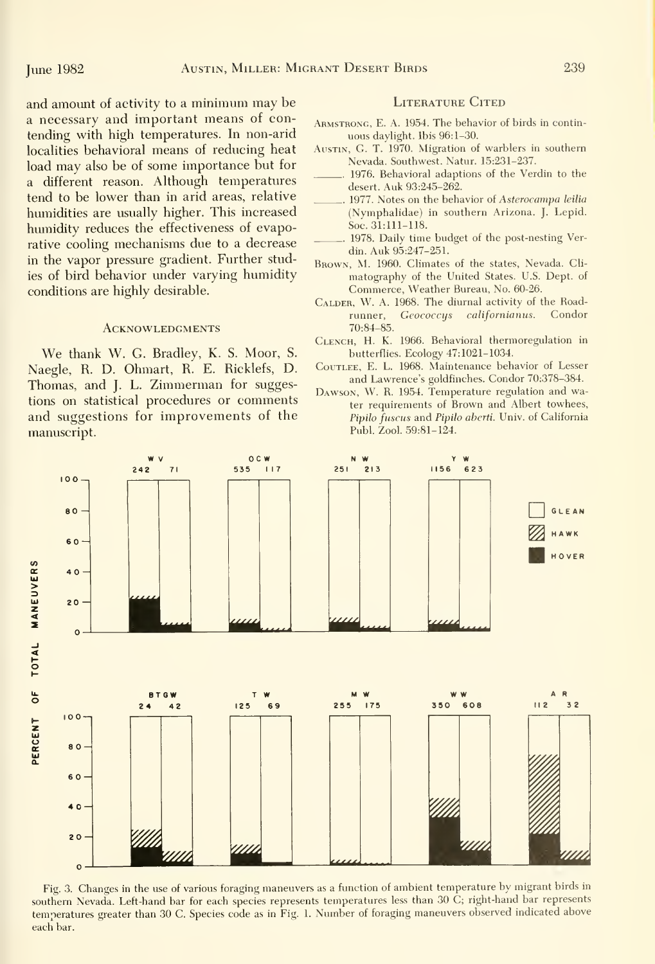and amount of activity to <sup>a</sup> minimum may be a necessary and important means of contending with high temperatures. In non-arid localities behavioral means of reducing heat load may also be of some importance but for a different reason. Although temperatures tend to be lower than in arid areas, relative humidities are usually higher. This increased humidity reduces the effectiveness of evaporative cooling mechanisms due to a decrease in the vapor pressure gradient. Further studies of bird behavior under varying humidity conditions are highly desirable.

## **ACKNOWLEDGMENTS**

We thank W. G. Bradley, K. S. Moor, S. Naegle, R. D. Ohmart, R. E. Ricklefs, D. Thomas, and J. L. Zimmerman for suggestions on statistical procedures or comments and suggestions for improvements of the manuscript.

### LITERATURE CITED

- Armstrong, E. A. 1954. The behavior of birds in contin uous dayhght. Ibis 96:1-30.
- Austin, G. T. 1970. Migration of warblers in southern Nevada. Southwest. Natur. 15:231-237.
- 1976. Behavioral adaptions of the Verdin to the desert. Auk 93:245-262.
- 1977. Notes on the behavior of Asterocampa leilia (Nymphalidae) in southern Arizona. J. Lepid. Soc. 31:111-118.
- 1978. Daily time budget of the post-nesting Verdin. Auk 95:247-251.
- Brown, M. 1960. Climates of the states, Nevada. Cli matography of the United States. U.S. Dept. of Commerce, Weather Bureau, No. 60-26.
- CALDER, W. A. 1968. The diurnal activity of the Road-<br>runner. Geococcus californianus. Condor runner, Geococcys californianus. 70:84-85.
- Clench, H. K. 1966. Behavioral thermoregulation in butterflies. Ecology 47:1021-1034.
- CouTLEE, E. L. 1968. Maintenance behavior of Lesser and Lawrence's goldfinches. Condor 70:378-384.
- Dawson, W. R. 1954. Temperature regulation and water requirements of Brown and Albert towhees, Pipilo fuscus and Pipilo aberti. Univ. of California Publ. Zool. 59:81-124.



Fig. 3. Changes in the use of various foraging maneuvers as a function of ambient temperature by migrant birds in southern Nevada. Left-hand bar for each species represents temperatures less than 30 C; right-hand bar represents temperatures greater than 30 C. Species code as in Fig. 1. Number of foraging maneuvers observed indicated above each bar.